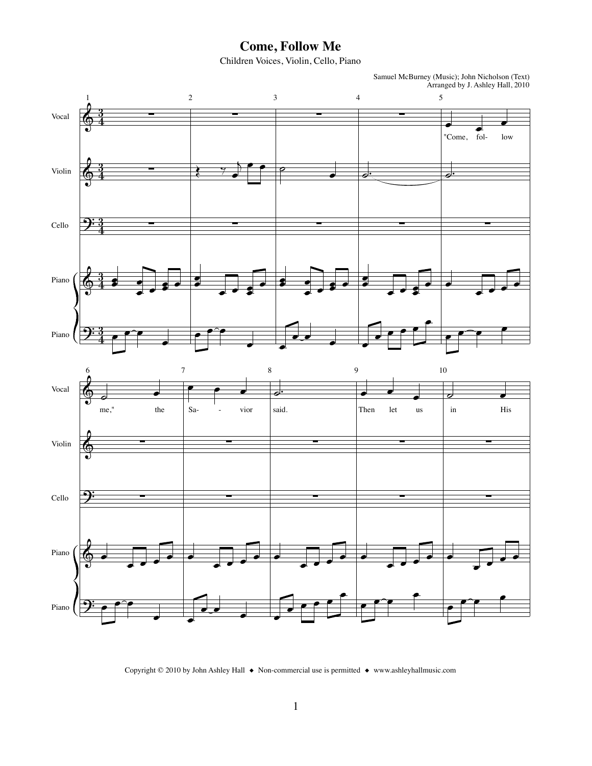## **Come, Follow Me**

Children Voices, Violin, Cello, Piano

Samuel McBurney (Music); John Nicholson (Text) Arranged by J. Ashley Hall, 2010 1 2 3 4 5  $\frac{2}{9}$   $\frac{3}{4}$  $\frac{3}{4}$ Vocal . "Come, . fol- . low  $\begin{array}{|c|c|c|c|c|}\hline \rule{0pt}{1ex}\bullet\hspace{0pt}&\bullet\hspace{0pt}&\bullet\hspace{0pt}&\bullet\end{array}$  $\frac{3}{4}$   $\qquad$   $\qquad$   $\qquad$   $\qquad$   $\qquad$   $\qquad$   $\qquad$   $\qquad$   $\qquad$   $\qquad$   $\qquad$   $\qquad$   $\qquad$   $\qquad$   $\qquad$   $\qquad$   $\qquad$   $\qquad$   $\qquad$   $\qquad$   $\qquad$   $\qquad$   $\qquad$   $\qquad$   $\qquad$   $\qquad$   $\qquad$   $\qquad$   $\qquad$   $\qquad$   $\qquad$   $\qquad$   $\qquad$   $\qquad$   $\qquad$  Violin .  $\frac{3}{4}$ Cello  $\ddot{\cdot}$  . .  $\cdot$  . . .  $\frac{3}{4}$  :  $\frac{1}{\cdot}$  $\frac{1}{\cdot}$ Piano . . . . . .  $\overline{\phantom{a}}$  .  $\overline{\mathbf{r}^{\prime}}$  .  $\overline{\phantom{a}}$  .  $. \cdot \cdot \cdot$  $\frac{3}{4}$  ,  $\frac{6}{4}$  ,  $\frac{6}{4}$  ,  $\frac{1}{4}$  ,  $\frac{1}{4}$  ,  $\frac{1}{4}$  ,  $\frac{1}{4}$  ,  $\frac{1}{4}$  ,  $\frac{1}{4}$  ,  $\frac{1}{4}$  ,  $\frac{1}{4}$  ,  $\frac{1}{4}$  ,  $\frac{1}{4}$  ,  $\frac{1}{4}$  ,  $\frac{1}{4}$  ,  $\frac{1}{4}$  ,  $\frac{1}{4}$  ,  $\frac{1}{4}$  ,  $\frac{1$ Piano 7 8 9 10 6 . Vocal . .  $\overline{\phantom{a}}$ .  $\bigcirc$   $\qquad$   $\qquad$   $\qquad$   $\qquad$   $\qquad$   $\qquad$   $\qquad$   $\qquad$   $\qquad$   $\qquad$   $\qquad$   $\qquad$   $\qquad$   $\qquad$   $\qquad$   $\qquad$   $\qquad$   $\qquad$   $\qquad$   $\qquad$   $\qquad$   $\qquad$   $\qquad$   $\qquad$   $\qquad$   $\qquad$   $\qquad$   $\qquad$   $\qquad$   $\qquad$   $\qquad$   $\qquad$   $\qquad$   $\qquad$   $\qquad$   $\qquad$ . . - .  $\frac{1}{\sqrt{2}}$ me," Sa vior said. Then let in - His Violin  $\blacksquare$ ш ш ш Cello ш œ. Piano & . . . . . . . . . . . . . . . . . . . . . . . . .  $Piano$   $\left(\frac{\partial P}{\partial t}, \frac{\partial P}{\partial t}, \frac{\partial P}{\partial t}, \frac{\partial P}{\partial t}, \frac{\partial P}{\partial t}, \frac{\partial P}{\partial t}, \frac{\partial P}{\partial t}, \frac{\partial P}{\partial t}, \frac{\partial P}{\partial t}, \frac{\partial P}{\partial t}, \frac{\partial P}{\partial t}, \frac{\partial P}{\partial t}, \frac{\partial P}{\partial t}, \frac{\partial P}{\partial t}, \frac{\partial P}{\partial t}, \frac{\partial P}{\partial t}, \frac{\partial P}{\partial t}, \frac{\partial P}{\partial t}, \frac{\partial P}{\partial t}, \frac{\partial P}{\partial t}, \frac{\partial P}{\partial t}, \frac$ 

Copyright © 2010 by John Ashley Hall ◆ Non-commercial use is permitted ◆ www.ashleyhallmusic.com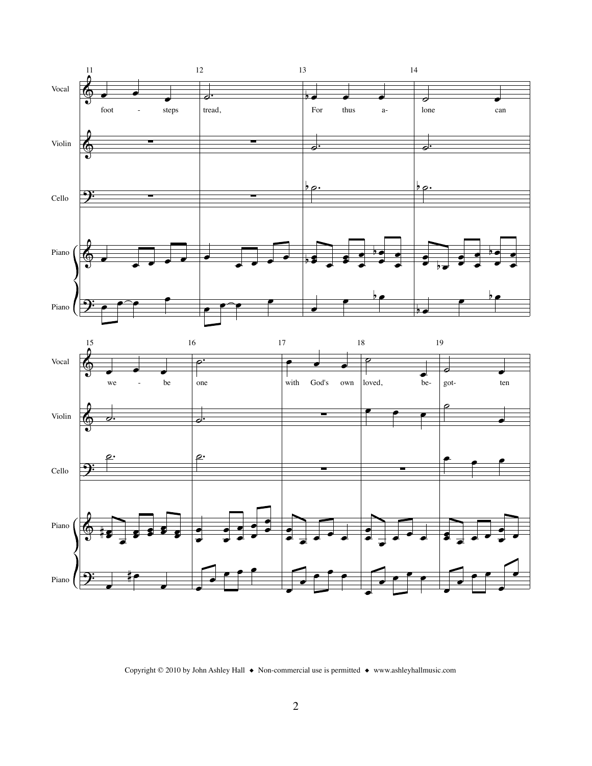

Copyright © 2010 by John Ashley Hall  $\bullet$  Non-commercial use is permitted  $\bullet$  www.ashleyhallmusic.com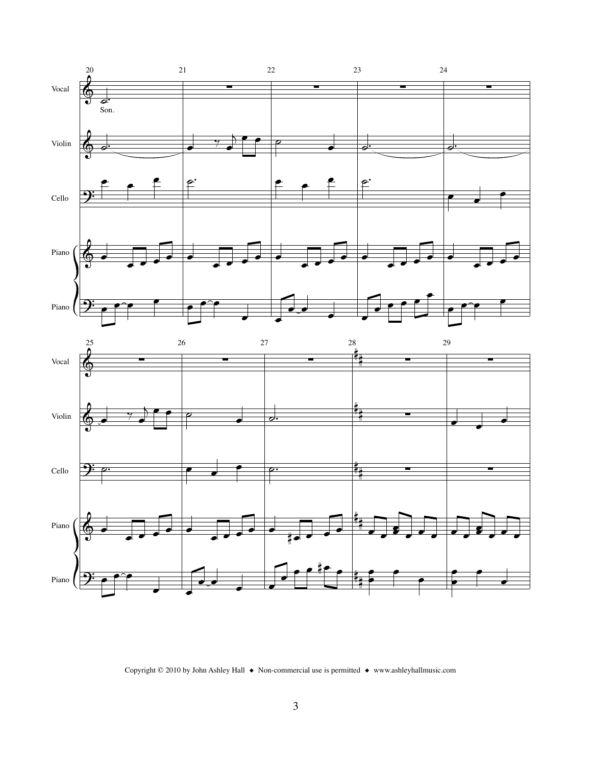

Copyright © 2010 by John Ashley Hall ◆ Non-commercial use is permitted ◆ www.ashleyhallmusic.com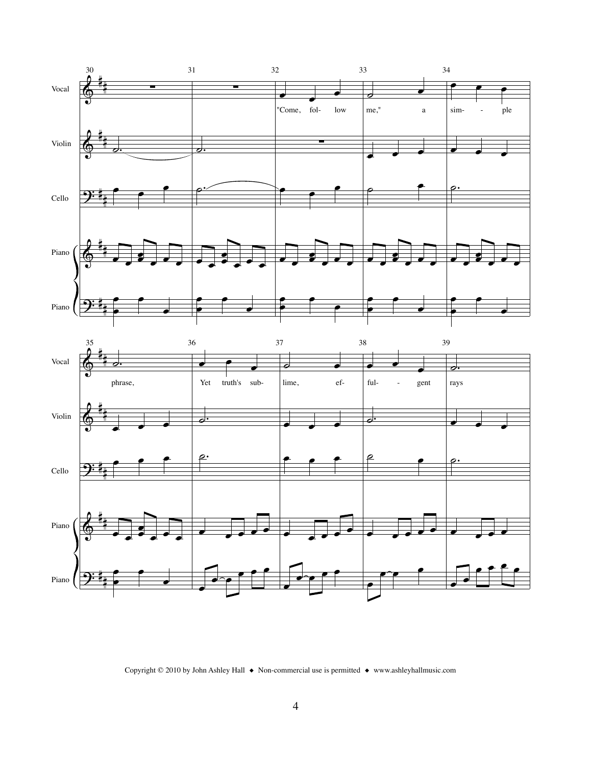



Copyright © 2010 by John Ashley Hall  $\bullet$  Non-commercial use is permitted  $\bullet$  www.ashleyhallmusic.com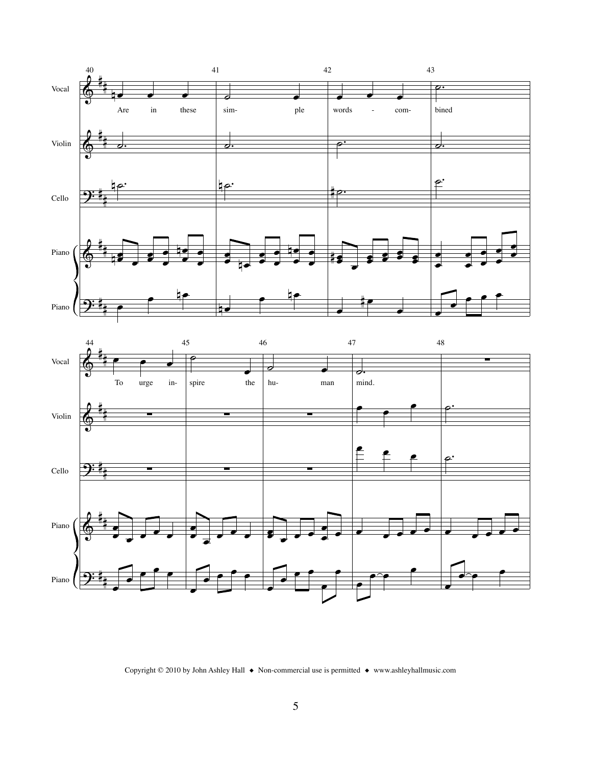



Copyright © 2010 by John Ashley Hall  $\bullet$  Non-commercial use is permitted  $\bullet$  www.ashleyhallmusic.com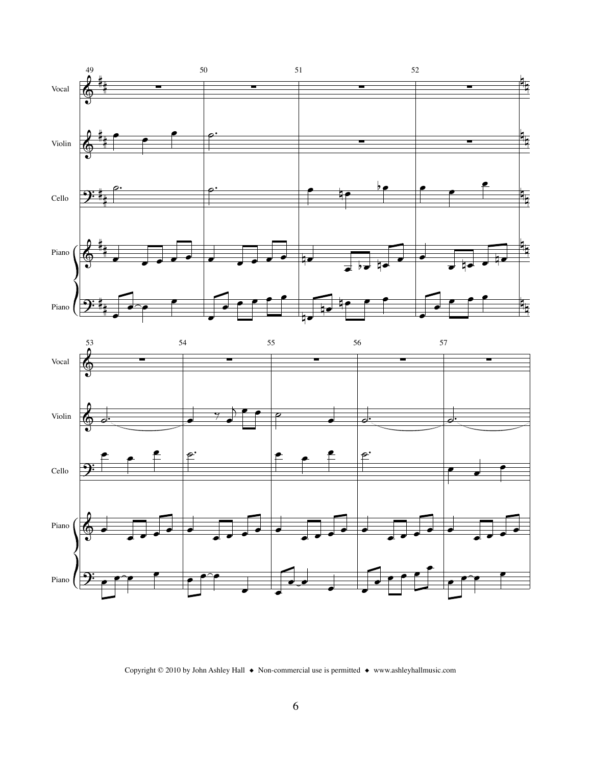

![](_page_5_Figure_1.jpeg)

Copyright © 2010 by John Ashley Hall ◆ Non-commercial use is permitted ◆ www.ashleyhallmusic.com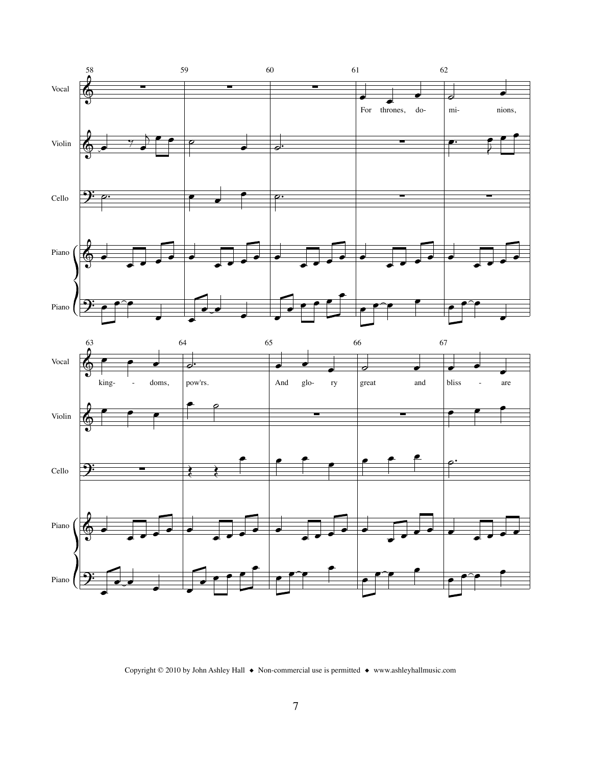![](_page_6_Figure_0.jpeg)

![](_page_6_Figure_1.jpeg)

Copyright © 2010 by John Ashley Hall  $\bullet$  Non-commercial use is permitted  $\bullet$  www.ashleyhallmusic.com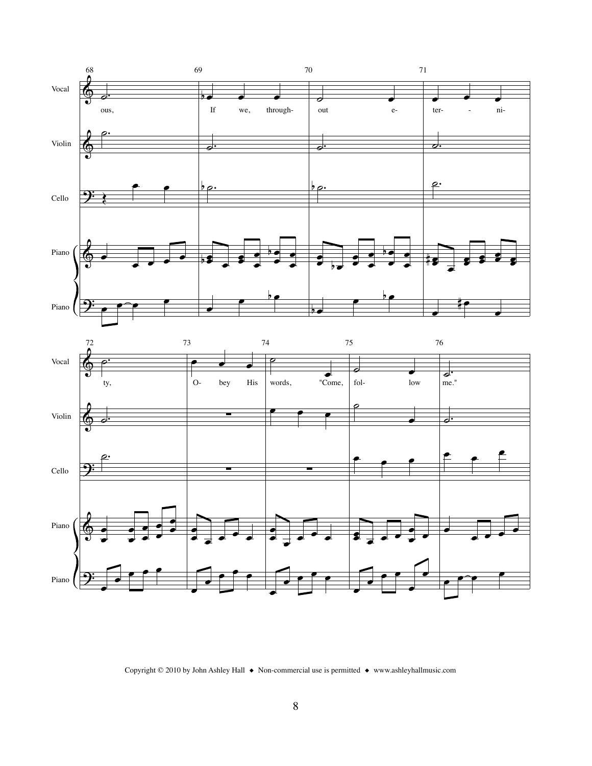![](_page_7_Figure_0.jpeg)

Copyright © 2010 by John Ashley Hall  $\bullet$  Non-commercial use is permitted  $\bullet$  www.ashleyhallmusic.com